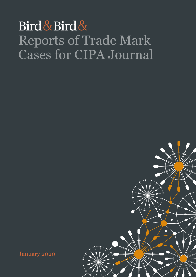## Bird & Bird & Reports of Trade Mark Cases for CIPA Journal

January 2020

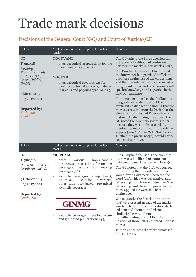## Trade mark decisions

### Decisions of the General Court (GC) and Court of Justice (CJ)

| Ref no.                                                                                                                     | Application (and where applicable, earlier<br>mark)                                                                                                                                                                                                                                                | Comment                                                                                                                                                                                                                                                                                                                                                                                                                                                                                                                                              |
|-----------------------------------------------------------------------------------------------------------------------------|----------------------------------------------------------------------------------------------------------------------------------------------------------------------------------------------------------------------------------------------------------------------------------------------------|------------------------------------------------------------------------------------------------------------------------------------------------------------------------------------------------------------------------------------------------------------------------------------------------------------------------------------------------------------------------------------------------------------------------------------------------------------------------------------------------------------------------------------------------------|
| GC<br>$T - 321/18$<br>Serenity<br>Pharmaceuticals<br>LLC v EUIPO;<br>Gebro Holding<br>GmbH<br>6 March 2019<br>Reg 2017/1001 | <b>NOCUVANT</b><br>pharmaceutical preparations for the<br>treatment of nocturia $(5)$<br><b>NOCUTIL</b><br>pharmaceutical preparations for<br>treating nocturnal enuresis, diabetes<br>insipidus and polyuria syndrome (5)                                                                         | The GC upheld the BoA's decision that<br>there was a likelihood of confusion<br>between the marks under article $8(1)(b)$ .<br>The BoA had been correct to find that<br>the intervener had provided sufficient<br>proof of genuine use of the earlier mark<br>and that the relevant public consisted of<br>the general public and professionals with<br>specific knowledge and expertise in the<br>field of healthcare.<br>There was no appeal to the finding that<br>the goods were identical, but the<br>applicant challenged the finding that the |
| <b>Reported by:</b><br>Katharine<br><b>Stephens</b>                                                                         |                                                                                                                                                                                                                                                                                                    | marks were similar on the basis that the<br>elements 'vant' and 'util' were clearly<br>distinct. In dismissing the appeal, the<br>GC noted the two marks were similar<br>because they were at least partially<br>identical as regards one or more relevant<br>aspects (Sun Cali v EUIPO; T-512/15).<br>Further, the prefix 'noc[u]' would not be<br>seen as descriptive.                                                                                                                                                                             |
| Ref no.                                                                                                                     | Application (and where applicable, earlier<br>mark)                                                                                                                                                                                                                                                | Comment                                                                                                                                                                                                                                                                                                                                                                                                                                                                                                                                              |
| GC<br>$T-500/18$<br>Puma SE v EUIPO;<br>Destilerias MG, SL<br>3 October 2019<br>Reg 2017/1001<br><b>Reported by:</b>        | <b>MG PUMA</b><br>non-alcoholic<br>various<br>beer;<br>beverages; preparations for making<br>beverages;<br>making<br>syrups<br>for<br>beverages (32)<br>alcoholic beverages (except beer);<br>pre-mixed<br>alcoholic<br>beverages,<br>other than beer-based; pre-mixed<br>alcoholic beverages (33) | The GC upheld the BoA's decision that<br>there was a likelihood of confusion<br>between the marks under article $8(1)(b)$ .<br>The GC noted that the BoA was correct<br>in its finding that the relevant public<br>would draw a distinction between the<br>word 'gin', which was descriptive, and<br>letters 'mg', which were distinctive. The<br>letters 'mg' and the word 'puma' in the<br>mark applied for were also both<br>distinctive.                                                                                                         |
| Daniel Anti                                                                                                                 | <b>GINMG</b><br>alcoholic beverages, in particular gin<br>and gin-based preparations (33)                                                                                                                                                                                                          | Consequently, the fact that the letters<br>'mg' were present in each of the marks<br>was held to be sufficient to establish the<br>existence of phonetic and visual<br>similarity between them,<br>notwithstanding the fact that the<br>position of those letters differed in those<br>marks.<br>Puma's anneal was therefore dismissed                                                                                                                                                                                                               |

Puma's appeal was therefore dismissed in its entirety.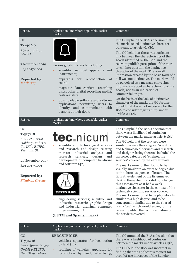| Ref no.                                                                                                                           | Application (and where applicable, earlier<br>mark)                                                                                                                                                                                                                                                                                                                               | Comment                                                                                                                                                                                                                                                                                                                                                                                                                                                                                                                                                                                                                                                                                                                                                                                                     |
|-----------------------------------------------------------------------------------------------------------------------------------|-----------------------------------------------------------------------------------------------------------------------------------------------------------------------------------------------------------------------------------------------------------------------------------------------------------------------------------------------------------------------------------|-------------------------------------------------------------------------------------------------------------------------------------------------------------------------------------------------------------------------------------------------------------------------------------------------------------------------------------------------------------------------------------------------------------------------------------------------------------------------------------------------------------------------------------------------------------------------------------------------------------------------------------------------------------------------------------------------------------------------------------------------------------------------------------------------------------|
| GC<br>$T - 240/19$<br>$A$ 9.com, Inc., $v$<br><b>EUIPO</b><br>7 November 2019<br>Reg 2017/1001<br><b>Reported by:</b><br>Mark Day | various goods in class 9, including:<br>scientific, nautical apparatus and<br>instruments;<br>reproduction<br>of<br>apparatus for<br>sound;<br>magnetic data carriers, recording<br>discs; other digital recording media;<br>cash registers;<br>downloadable software and software<br>applications permitting users to<br>identify and communicate with<br>persons at their door. | The GC upheld the BoA's decision that<br>the mark lacked distinctive character<br>pursuant to article $7(1)(b)$ .<br>The GC held that there was sufficient<br>link between the characteristics of the<br>goods identified by the BoA and the<br>relevant public's perception of the mark<br>to call into question the distinctive<br>character of the mark. The overall<br>impression created by the basic form of a<br>bell was not distinctive. The mark would<br>be perceived as a message conveying<br>information about a characteristic of the<br>goods, not as an indication of<br>commercial origin.<br>On the basis of the lack of distinctive<br>character of the mark, the GC further<br>upheld that it was not necessary for the<br>BoA to consider registrability under<br>article $7(1)(c)$ . |
| Ref no.                                                                                                                           | Application (and where applicable, earlier                                                                                                                                                                                                                                                                                                                                        | Comment                                                                                                                                                                                                                                                                                                                                                                                                                                                                                                                                                                                                                                                                                                                                                                                                     |

#### GC

#### **T‑527/18**

*K.A. Schmersal Holding GmbH & Co. KG v EUIPO; Tecnium, SL*

21 November 2019 Reg 2017/1001

#### **Reported by:**

*Elizabeth Greene*

### **tec** nicum

scientific and technological services and research and design relating thereto; industrial analysis and<br>research services; design and research services; design and development of computer hardware and software (42)



mark)

- engineering services; scientific and industrial research; graphic design and industrial drawing; computer programming (42)

#### **(EUTM and Spanish mark)**

The GC upheld the BoA's decision that there was a likelihood of confusion between the marks under article 8(1)(b).

The GC held that the services were similar because the category "scientific and technological services and research and design relating thereto" included the narrower category of "engineering services" covered by the earlier mark.

The marks were further found to be visually similar to an average degree due to the shared sequence of letters. The figurative element of the Erlenmeyer flask in the earlier mark did not change this assessment as it had a weak distinctive character in the context of the technical/ scientific services covered. The marks were found to be phonetically similar to a high degree, and to be conceptually similar due to the shared prefix 'tec', which would evoke, for the relevant public, the technical nature of the services covered.

| Ref no.                                               | Application (and where applicable, earlier<br>mark)                                                                                                    | Comment                                                                                                                       |
|-------------------------------------------------------|--------------------------------------------------------------------------------------------------------------------------------------------------------|-------------------------------------------------------------------------------------------------------------------------------|
| GC<br>$T-736/18$                                      | <b>BERGSTEIGER</b><br>vehicles: apparatus for locomotion<br>by land $(12)$<br>retailing of vehicles, apparatus for<br>locomotion by land; advertising; | The GC annulled the BoA's decision that<br>there was a likelihood of confusion<br>between the marks under article $8(1)(b)$ . |
| Runnebaum Invest<br>GmbH v EUIPO;<br>Berg Toys Beheer |                                                                                                                                                        | The GC held, the BoA was incorrect in<br>finding that the applicant's request for<br>proof of use in respect of the Benelux   |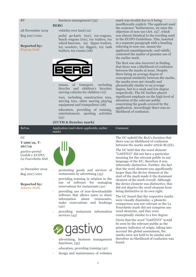#### *BV*

#### business management (35) **BERG**

trailors, toy cranes (28)

28 November 2019 Reg 2017/1001

#### **Reported by:** *Bryony Gold*

- vehicles over land (12) pedal go-karts (toy), toy-wagons, beach wagons (toy), toy trailers, toy wheel-barrows, toy tipper-trailors, toy scooters, toy diggers, toy tank
- - means of transport, excluding bicycles and children's bicycles; moving vehicles for children (12)
- toys, including construction toys, moving toys, other moving playing equipment and trampolines (28)
- entertainment, sporting activities (41)

mark was invalid due to it being insufficiently explicit. The applicant used the sentence "furthermore, we raise the objection of non-use (Art. 15)", which was almost identical to the wording used in the EUIPO Guidelines. This, inserted in a separate paragraph with a heading referring to non-use, meant the applicant unambiguously, and validly, contested the matter of genuine use of the earlier mark.

The BoA was also incorrect in finding that there was a likelihood of confusion between the marks at issue. Despite there being an average degree of conceptual similarity between the marks, the marks were not visually and phonetically similar to an average degree, but to a weak and low degree respectively. The GC further placed significant emphasis on the high level of attention of the relevant public concerning the goods covered by the application. Accordingly there was no likelihood of confusion.

|                                                                                                                                                                            | LOTINI & DOMONA MATRI                                                                                                                                                                                                                                                                                                                                                                                   |                                                                                                                                                                                                                                                                                                                                                                                                                                                                                                                                                                                                                                                                                                                                                                                                                                                                                                                               |
|----------------------------------------------------------------------------------------------------------------------------------------------------------------------------|---------------------------------------------------------------------------------------------------------------------------------------------------------------------------------------------------------------------------------------------------------------------------------------------------------------------------------------------------------------------------------------------------------|-------------------------------------------------------------------------------------------------------------------------------------------------------------------------------------------------------------------------------------------------------------------------------------------------------------------------------------------------------------------------------------------------------------------------------------------------------------------------------------------------------------------------------------------------------------------------------------------------------------------------------------------------------------------------------------------------------------------------------------------------------------------------------------------------------------------------------------------------------------------------------------------------------------------------------|
| Ref no.                                                                                                                                                                    | Application (and where applicable, earlier<br>mark)                                                                                                                                                                                                                                                                                                                                                     | Comment                                                                                                                                                                                                                                                                                                                                                                                                                                                                                                                                                                                                                                                                                                                                                                                                                                                                                                                       |
| GC<br>$T-266/19$ , T-<br>267/19<br>gastivo portal<br>GmbH v EUIPO;<br>La Fourchette SAS<br>12 December 2019<br>Reg 2017/1001<br><b>Reported by:</b><br><b>Adeena Wells</b> | promoting goods and services of<br>restaurants by advertising (35)<br>providing training in relation to the<br>use of software for managing<br>reservations for restaurants $(41)$<br>providing use of non-downloadable<br>software that allows users to share<br>information<br>about<br>restaurants,<br>make reservations and bookings<br>(42)<br>providing restaurant information<br>services $(43)$ | The GC upheld the BoA's decision that<br>there was no likelihood of confusion<br>between the marks under article $8(1)(b)$ .<br>The GC held that the word element<br>"GASTIVO" did not have a particular<br>meaning for the relevant public in any<br>language of the EU, therefore it was<br>inherently distinctive. Further, the fact<br>that the word element was significantly<br>larger than the device element at the<br>start of the mark made it the dominant<br>element of the mark overall. Although<br>the device element was distinctive, this<br>did not deprive the word element from<br>being distinctive in its own right.<br>The GC found that the respective marks<br>were visually dissimilar, a phonetic<br>comparison was not relevant as the La<br>Fourchette mark did not comprise any<br>word elements, and they were<br>conceptually similar to a low degree.<br>Given that the word "GASTIVO" would |
|                                                                                                                                                                            |                                                                                                                                                                                                                                                                                                                                                                                                         | be seen by the relevant public as the<br>primers indicator of origin telsing into                                                                                                                                                                                                                                                                                                                                                                                                                                                                                                                                                                                                                                                                                                                                                                                                                                             |

primary indicator of origin, taking into account the global assessment, the marks were not held to be similar and therefore no likelihood of confusion was found.

- advertising, business management functions, (35)
- education, providing training (41)
- design and maintenance of websites

**I**dSLIVO

education, providing of training,

#### **(EUTM & Benelux mark)**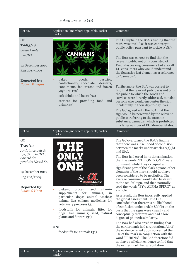#### relating to catering (42)

| Ref no.                                                                                                                                                                                 | Application (and where applicable, earlier<br>mark)                                                                                                                                                                                                                                                                                                                                                                  | Comment                                                                                                                                                                                                                                                                                                                                                                                                                                                                                                                                                                                                                                                                                                                                                                                                                                                                                                                                                                                                                                                                                                                                               |
|-----------------------------------------------------------------------------------------------------------------------------------------------------------------------------------------|----------------------------------------------------------------------------------------------------------------------------------------------------------------------------------------------------------------------------------------------------------------------------------------------------------------------------------------------------------------------------------------------------------------------|-------------------------------------------------------------------------------------------------------------------------------------------------------------------------------------------------------------------------------------------------------------------------------------------------------------------------------------------------------------------------------------------------------------------------------------------------------------------------------------------------------------------------------------------------------------------------------------------------------------------------------------------------------------------------------------------------------------------------------------------------------------------------------------------------------------------------------------------------------------------------------------------------------------------------------------------------------------------------------------------------------------------------------------------------------------------------------------------------------------------------------------------------------|
| GC<br>$T-683/18$<br>Santa Conte<br>$v$ EUIPO<br>12 December 2019<br>Reg 2017/1001<br><b>Reported by:</b><br>Robert Milligan                                                             | CANNABIS<br>baked<br>goods,<br>pastries,<br>confectionery, chocolate,<br>desserts,<br>condiments, ice creams and frozen<br>yoghurts (30)<br>soft drinks and beers (32)<br>services for providing food and<br>drink(43)                                                                                                                                                                                               | The GC upheld the BoA's finding that the<br>mark was invalid as it was contrary to<br>public policy pursuant to article $7(1)(f)$ .<br>The BoA was correct to find that the<br>relevant public not only consisted of<br>English-speaking consumers but also all<br>EU consumers who would understand<br>the figurative leaf element as a reference<br>to "cannabis".<br>Furthermore, the BoA was correct to<br>find that the relevant public was not only<br>the public to which the goods and<br>services were directly addressed, but also<br>persons who would encounter the sign<br>incidentally in their day-to-day lives.<br>The GC agreed with the BoA that the<br>sign would be perceived by the relevant<br>public as referring to the narcotic<br>substance, cannabis, which is prohibited<br>in a large number of EU Member States.                                                                                                                                                                                                                                                                                                        |
| Ref no.                                                                                                                                                                                 | Application (and where applicable, earlier<br>mark)                                                                                                                                                                                                                                                                                                                                                                  | Comment                                                                                                                                                                                                                                                                                                                                                                                                                                                                                                                                                                                                                                                                                                                                                                                                                                                                                                                                                                                                                                                                                                                                               |
| GC<br>$T - 40/19$<br>Amigüitos pets &<br>life, SA. v EUIPO;<br>Société des<br>produits Nestlé SA<br>19 December 2019<br>Reg 207/2009<br><b>Reported by:</b><br>Louise O'Hara<br>Ref no. | spiril<br>ild and needect<br>protein<br>dietary,<br>and<br>vitamin<br>supplements<br>for<br>animals,<br>in<br>particular dogs; animal washes;<br>animal flea collars; medicines for<br>veterinary purposes (5)<br>foodstuffs for animals; litter for<br>Ξ<br>dogs; live animals; seed, natural<br>plants and flowers (31)<br><b>ONE</b><br>foodstuffs for animals (31)<br>Application (and where applicable, earlier | The GC overturned the BoA's finding<br>that there was a likelihood of confusion<br>between the marks under articles $8(1)(b)$<br>and $8(5)$ .<br>The BoA had erred in its determination<br>that the words "THE ONLY ONE" were<br>dominant: whilst they occupied a<br>significant part of the black square, other<br>elements of the mark should not have<br>been considered to be negligible. The<br>average consumer would also be drawn<br>to the red "a" sign, and then naturally<br>read the words "BY a ALPHA SPIRIT" as<br>a whole.<br>As a result, the BoA incorrectly applied<br>the global assessment. The GC<br>concluded that there was no likelihood<br>of confusion under article $8(1)(b)$ on the<br>basis that the signs were visually and<br>conceptually different and had a low<br>degree of phonetic similarity.<br>The BoA had also erred in finding that<br>the earlier mark had a reputation. All of<br>the evidence relied upon concerned the<br>use of the mark in conjunction with the<br>word "PURINA". The BoA therefore did<br>not have sufficient evidence to find that<br>the earlier mark had a reputation.<br>Comment |
|                                                                                                                                                                                         | mark)                                                                                                                                                                                                                                                                                                                                                                                                                |                                                                                                                                                                                                                                                                                                                                                                                                                                                                                                                                                                                                                                                                                                                                                                                                                                                                                                                                                                                                                                                                                                                                                       |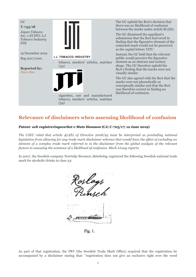

#### **Relevance of disclaimers when assessing likelihood of confusion**

#### *Patent- och registreringsverket v Mats Hansson* **(CJ; C-705/17; 12 June 2019)**

*The CJEU ruled that article 4(1)(b) of Directive 2008/95 must be interpreted as precluding national legislation from allowing for any trade mark disclaimer schemes that would have the effect of excluding an element of a complex trade mark referred to in the disclaimer from the global analysis of the relevant factors in assessing the existence of a likelihood of confusion. Mark Livsey reports.*

In 2007, the Swedish company Norrtelje Brenneri Aktiebolag registered the following Swedish national trade mark for alcoholic drinks in class 33:



Fig. 1.

As part of that registration, the PRV (the Swedish Trade Mark Office) required that the registration be accompanied by a disclaimer stating that: "registration does not give an exclusive right over the word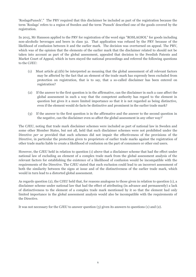'RoslagsPunsch'." The PRV required that this disclaimer be included as part of the registration because the term 'Roslags' refers to a region of Sweden and the term 'Punsch' described one of the goods covered by the registration.

In 2015, Mr Hansson applied to the PRV for registration of the word sign "ROSLAGSOL" for goods including non-alcoholic beverages and beers in class 32. That application was refused by the PRV because of the likelihood of confusion between it and the earlier mark. The decision was overturned on appeal. The PRV, which was of the opinion that the elements of the earlier mark that the disclaimer related to should not be taken into account as part of the global assessment, appealed that decision to the Swedish Patents and Market Court of Appeal, which in turn stayed the national proceedings and referred the following questions to the CJEU:

- (1) Must article 4(1)(b) be interpreted as meaning that the global assessment of all relevant factors may be affected by the fact that an element of the trade mark has expressly been excluded from protection on registration, that is to say, that a so-called disclaimer has been entered on registration?
- (2) If the answer to the first question is in the affirmative, can the disclaimer in such a case affect the global assessment in such a way that the competent authority has regard to the element in question but gives it a more limited importance so that it is not regarded as being distinctive, even if the element would de facto be distinctive and prominent in the earlier trade mark?
- (3) If the answer to the first question is in the affirmative and the answer to the second question in the negative, can the disclaimer even so affect the global assessment in any other way?'

The CJEU, noting that trade mark disclaimer schemes were included as part of national law in Sweden and some other Member States, but not all, held that such disclaimer schemes were not prohibited under the Directive *per se* provided that such schemes did not impair the effectiveness of the provisions of the Directive, in particular the protection given to proprietors of earlier trade marks against the registration of other trade marks liable to create a likelihood of confusion on the part of consumers or other end users.

However, the CJEU held in relation to question (1) above that a disclaimer scheme that had the effect under national law of excluding an element of a complex trade mark from the global assessment analysis of the relevant factors for establishing the existence of a likelihood of confusion would be incompatible with the requirements of the Directive. The CJEU stated that such exclusion could lead to an incorrect assessment of both the similarity between the signs at issue and of the distinctiveness of the earlier trade mark, which would in turn lead to a distorted global assessment.

As regards question (2), the CJEU held that, for reasons analogous to those given in relation to question (1), a disclaimer scheme under national law that had the effect of attributing (in advance and permanently) a lack of distinctiveness to the element of a complex trade mark mentioned by it so that the element had only limited importance in the global assessment analysis would also be incompatible with the requirements of the Directive.

It was not necessary for the CJEU to answer question (3) given its answers to questions (1) and (2).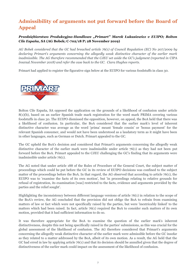### **Admissibility of arguments not put forward before the Board of Appeal**

#### *Przedsiębiorstwo Produkcyjno-Handlowe "Primart" Marek Łukasiewicz v EUIPO; Bolton Cile España, SA* **(AG Bobek; C-702/18 P; 28 November 2019)**

*AG Bobek considered that the GC had breached article 76(1) of Council Regulation (EC) No 207/2009 by declaring Primart's arguments concerning the allegedly weak distinctive character of the earlier mark*  inadmissible. The AG therefore recommended that the CJEU set aside the GC's judgment (reported in CIPA Journal *November 2018) and refer the case back to the GC. Ciara Hughes reports.*

Primart had applied to register the figurative sign below at the EUIPO for various foodstuffs in class 30.



Bolton Cile España, SA opposed the application on the grounds of a likelihood of confusion under article 8(1)(b), based on an earlier Spanish trade mark registration for the word mark PRIMA covering various foodstuffs in class 30. The EUIPO dismissed the opposition, however, on appeal, the BoA held that there was a likelihood of confusion. In particular, the BoA considered that the earlier mark's level of inherent distinctive character was average as the word 'prima' meant 'female cousin' or 'bonus payment' for the relevant Spanish consumer, and would not have been understood as a laudatory term as it might have been in other languages, such as German or Dutch. Primart appealed to the GC.

The GC upheld the BoA's decision and considered that Primart's arguments concerning the allegedly weak distinctive character of the earlier mark were inadmissible under article 76(1) as they had not been put forward before the BoA. Primart appealed to the CJEU challenging the GC's finding that its arguments were inadmissible under article 76(1).

The AG noted that under article 188 of the Rules of Procedure of the General Court, the subject matter of proceedings which could be put before the GC in its review of EUIPO decisions was confined to the subject matter of the proceedings before the BoA. In that regard, the AG observed that according to article 76(1), the EUIPO was to 'examine the facts of its own motion', but 'in proceedings relating to relative grounds for refusal of registration, its examination [was] restricted to the facts, evidence and arguments provided by the parties and the relief sought'.

Highlighting the inconsistency between different language versions of article 76(1) in relation to the scope of the BoA's review, the AG concluded that the provision did not oblige the BoA to refrain from examining matters of law or fact which were not specifically raised by the parties, but were 'inextricably linked' to the matters which had been raised. In fact, article 76(1) required the BoA to consider such matters of its own motion, provided that it had sufficient information to do so.

It was therefore appropriate for the BoA to examine the question of the earlier mark's inherent distinctiveness, despite this not being specifically raised in the parties' submissions, as this was crucial for the global assessment of the likelihood of confusion. The AG therefore considered that Primart's arguments concerning the allegedly weak distinctive character of the earlier mark were admissible before the GC insofar as they related to a matter addressed by the BoA, albeit of its own motion. As a result, the AG held that the GC had erred in law by applying article 76(1) and that its decision should be annulled given that the degree of distinctiveness of the earlier mark could impact on the assessment of the likelihood of confusion.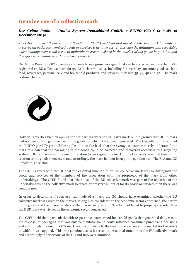#### **Genuine use of a collective mark**

#### *Der Grüne Punkt — Duales System Deutschland GmbH, v EUIPO* **(CJ; C-143/19P; 12 December 2019)**

*The CJEU annulled the decisions of the GC and EUIPO and held that use of a collective mark to create or preserve an outlet for members' goods or services is genuine use. In this case the affiliation with recyclable waste management could serve to maintain or create a share in the market of the goods in question and therefore was genuine use. Louise Vaziri reports.*

Der Grüne Punkt ("DGP") operates a scheme to recognise packaging that can be collected and recycled. DGP registered an EU collective mark for goods in classes 1 to 34, including for everyday consumer goods such as food, beverages, personal care and household products, and services in classes 35, 39, 40 and 42. The mark is shown below.



Halston Properties filed an application for partial revocation of DGP's mark on the ground that DGP's mark had not been put to genuine use for the goods for which it had been registered. The Cancellation Division of the EUIPO partially granted the application on the basis that the average consumer merely understood the mark to mean that the packaging of the goods could be collected and recovered according to a recycling system. DGP's mark was only used in relation to packaging; the mark did not serve its essential function in relation to the goods themselves and accordingly the mark had not been put to genuine use. The BoA and GC upheld this decision.

The CJEU agreed with the GC that the essential function of an EU collective mark was to distinguish the goods and services of the members of the association with the proprietor of the mark from other undertakings. The CJEU found that where use of the EU collective mark was part of the objective of the undertaking using the collective mark to create or preserve an outlet for its goods or services then there was genuine use.

In order to determine if such use was made of a mark, the GC should have examined whether the EU collective mark was used on the market, taking into consideration the economic sector concerned, the nature of the goods and the characteristics of the market in question. The GC had failed to properly consider how the DGP mark was viewed in the economic sector concerned.

The CJEU held that, particularly with respect to consumer and household goods that generated daily waste, the disposal of packaging that was environmentally sound could influence consumer purchasing decisions and accordingly the use of DGP's mark would contribute to the creation of a share in the market for the goods to which it was applied. This was genuine use as it served the essential function of the EU collective mark and accordingly the decisions of the GC and BoA were annulled.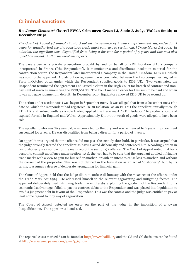#### **Criminal sanctions**

#### *R v James Clements\** **([2019] EWCA Crim 2253; Green LJ, Soole J, Judge Walden-Smith; 12 December 2019)**

*The Court of Appeal (Criminal Division) upheld the sentence of 2 years imprisonment suspended for 2 years for unauthorised use of a registered trade mark contrary to section 92(1) Trade Marks Act 1994. In addition, the appellant was disqualified from being a director for a period of 5 years and this was also upheld on appeal. Katharine Stephens reports.*

The case arose as a private prosecution brought by and on behalf of KDB Isolation S.A, a company incorporated in France ("the Respondent"). It manufactures and distributes insulation material for the construction sector. The Respondent later incorporated a company in the United Kingdom, KDB UK, which was sold to the appellant. A distribution agreement was concluded between the two companies, signed in Paris in October 2012, under which the Respondent supplied goods to KDB UK. Two years later, the Respondent terminated the agreement and issued a claim in the High Court for breach of contract and nonpayment of invoices amounting the  $E178,063.72$ . The Court made an order for this sum to be paid and when it was not, gave judgment in default. In December 2015, liquidators allowed KDB UK to be wound up.

The action under section 92(1) was begun in September 2017. It was alleged that from 9 December 2014 (the date on which the Respondent had registered "KDB Isolation" as an EUTM) the appellant, initially through KDB UK and subsequently as a sole trader, applied the trade mark "KDB Isolation" to products sold and exposed for sale in England and Wales. Approximately £300,000 worth of goods were alleged to have been sold.

The appellant, who was 70 years old, was convicted by the jury and was sentenced to 2 years imprisonment suspended for 2 years. He was disqualified from being a director for a period of 5 years.

On appeal it was argued that the offence did not pass the custody threshold. In particular, it was argued that the judge wrongly treated the appellant as having acted dishonestly and sentenced him accordingly when in law dishonesty was not part of the *mens rea* of the section 92 offence. The Court of Appeal noted that for a person to commit an offence under section 92(1), the jury had to be sure that the appellant applied infringing trade marks with a view to gain for himself or another, or with an intent to cause loss to another, and without the consent of the proprietor. This was not defined in the legislation as an act of "dishonesty" but, by its terms, it assumes a degree of deliberate wrongdoing for financial gain.

The Court of Appeal held that the judge did not confuse dishonesty with the *mens rea* of the offence under the Trade Mark Act 1994. He addressed himself to the relevant aggravating and mitigating factors. The appellant deliberately used infringing trade marks, thereby exploiting the goodwill of the Respondent to its economic disadvantage, failed to pay its contract debts to the Respondent and was placed into liquidation to avoid a judgment debt in favour of the Respondent. This was the context and the judge was entitled to pay at least some regard to it by way of aggravation.

The Court of Appeal detected no error on the part of the judge in the imposition of a 5-year disqualification. The appeal was dismissed.

The reported cases marked \* can be found at http://www.bailii.org and the CJ and GC decisions can be found at http://curia.euro pa.eu/jcms/jcms/j\_6/hom